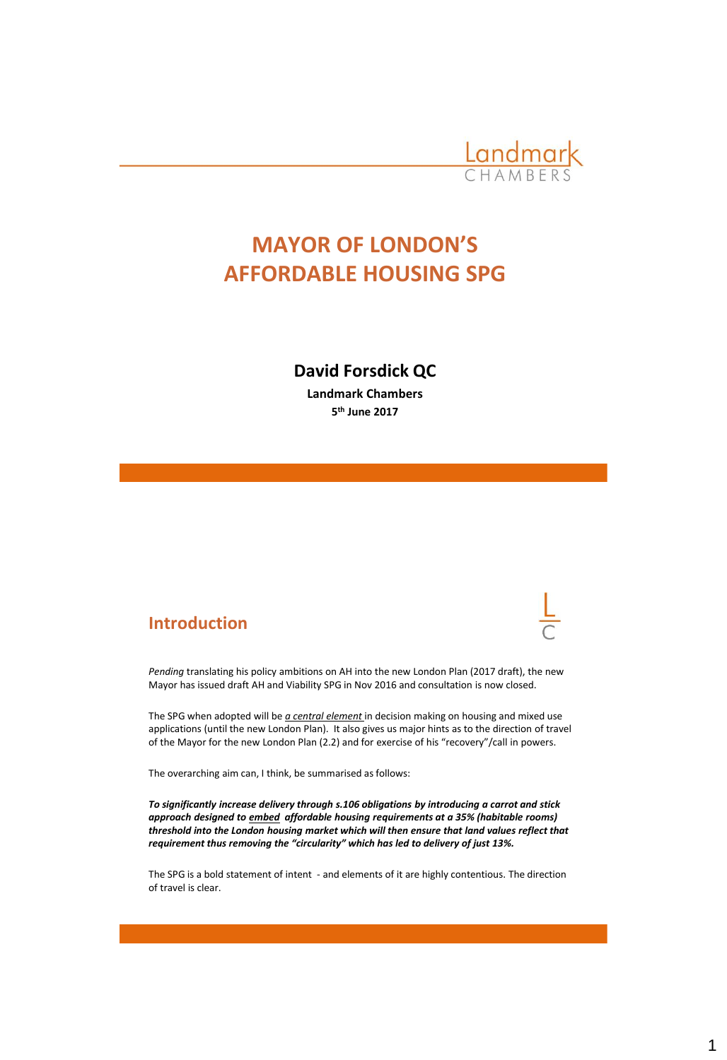

# **MAYOR OF LONDON'S AFFORDABLE HOUSING SPG**

# **David Forsdick QC**

**Landmark Chambers 5 th June 2017**

# **Introduction**



*Pending* translating his policy ambitions on AH into the new London Plan (2017 draft), the new Mayor has issued draft AH and Viability SPG in Nov 2016 and consultation is now closed.

The SPG when adopted will be *a central element* in decision making on housing and mixed use applications (until the new London Plan). It also gives us major hints as to the direction of travel of the Mayor for the new London Plan (2.2) and for exercise of his "recovery"/call in powers.

The overarching aim can, I think, be summarised as follows:

*To significantly increase delivery through s.106 obligations by introducing a carrot and stick approach designed to embed affordable housing requirements at a 35% (habitable rooms) threshold into the London housing market which will then ensure that land values reflect that requirement thus removing the "circularity" which has led to delivery of just 13%.* 

The SPG is a bold statement of intent - and elements of it are highly contentious. The direction of travel is clear.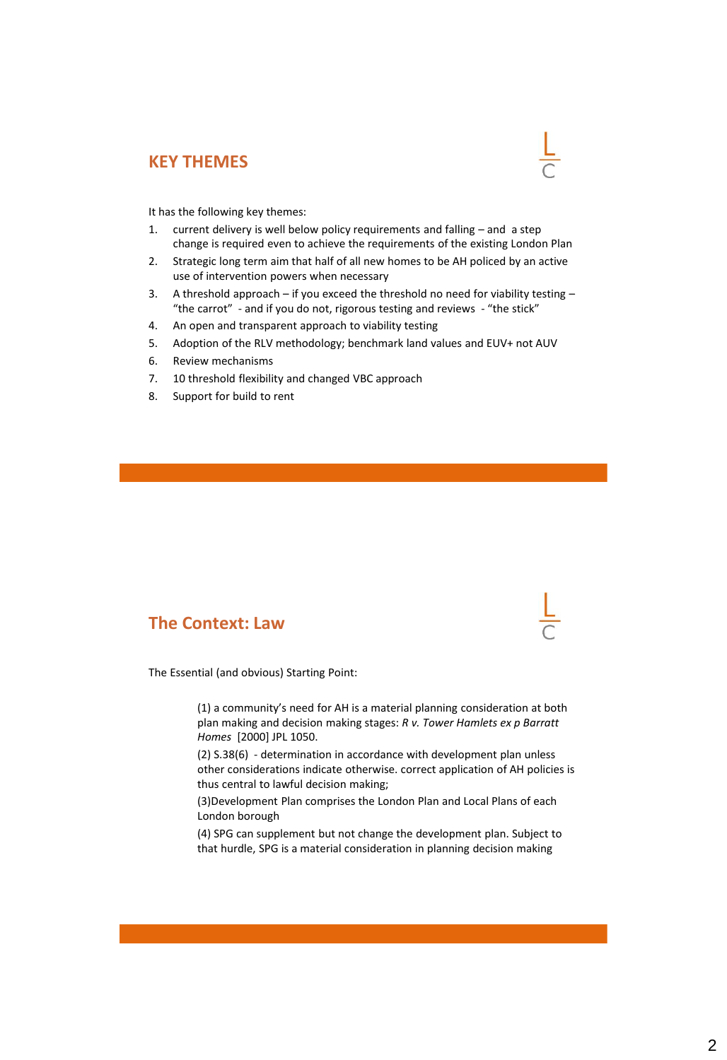## **KEY THEMES**

It has the following key themes:

- 1. current delivery is well below policy requirements and falling and a step change is required even to achieve the requirements of the existing London Plan
- 2. Strategic long term aim that half of all new homes to be AH policed by an active use of intervention powers when necessary
- 3. A threshold approach if you exceed the threshold no need for viability testing "the carrot" - and if you do not, rigorous testing and reviews - "the stick"
- 4. An open and transparent approach to viability testing
- 5. Adoption of the RLV methodology; benchmark land values and EUV+ not AUV
- 6. Review mechanisms
- 7. 10 threshold flexibility and changed VBC approach
- 8. Support for build to rent

### **The Context: Law**

The Essential (and obvious) Starting Point:

(1) a community's need for AH is a material planning consideration at both plan making and decision making stages: *R v. Tower Hamlets ex p Barratt Homes* [2000] JPL 1050.

(2) S.38(6) - determination in accordance with development plan unless other considerations indicate otherwise. correct application of AH policies is thus central to lawful decision making;

(3)Development Plan comprises the London Plan and Local Plans of each London borough

(4) SPG can supplement but not change the development plan. Subject to that hurdle, SPG is a material consideration in planning decision making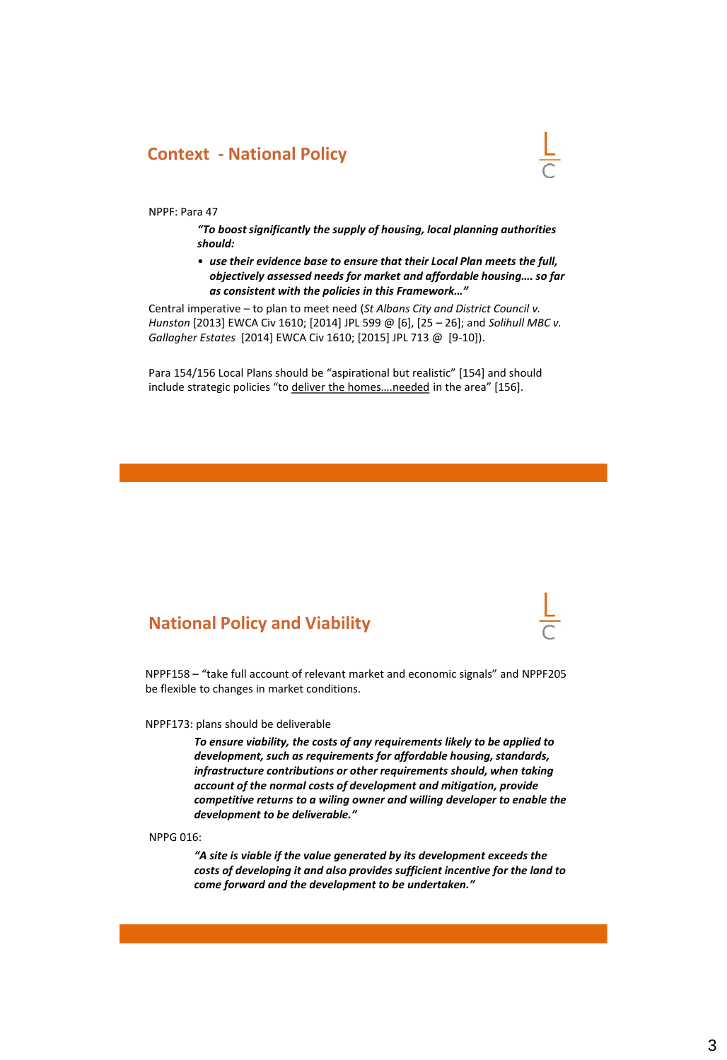## **Context - National Policy**



NPPF: Para 47

*"To boost significantly the supply of housing, local planning authorities should:*

• *use their evidence base to ensure that their Local Plan meets the full, objectively assessed needs for market and affordable housing…. so far as consistent with the policies in this Framework…"*

Central imperative – to plan to meet need (*St Albans City and District Council v. Hunston* [2013] EWCA Civ 1610; [2014] JPL 599 @ [6], [25 – 26]; and *Solihull MBC v. Gallagher Estates* [2014] EWCA Civ 1610; [2015] JPL 713 @ [9-10]).

Para 154/156 Local Plans should be "aspirational but realistic" [154] and should include strategic policies "to deliver the homes….needed in the area" [156].

# **National Policy and Viability**

NPPF158 – "take full account of relevant market and economic signals" and NPPF205 be flexible to changes in market conditions.

#### NPPF173: plans should be deliverable

*To ensure viability, the costs of any requirements likely to be applied to development, such as requirements for affordable housing, standards, infrastructure contributions or other requirements should, when taking account of the normal costs of development and mitigation, provide competitive returns to a wiling owner and willing developer to enable the development to be deliverable."*

NPPG 016:

*"A site is viable if the value generated by its development exceeds the costs of developing it and also provides sufficient incentive for the land to come forward and the development to be undertaken."*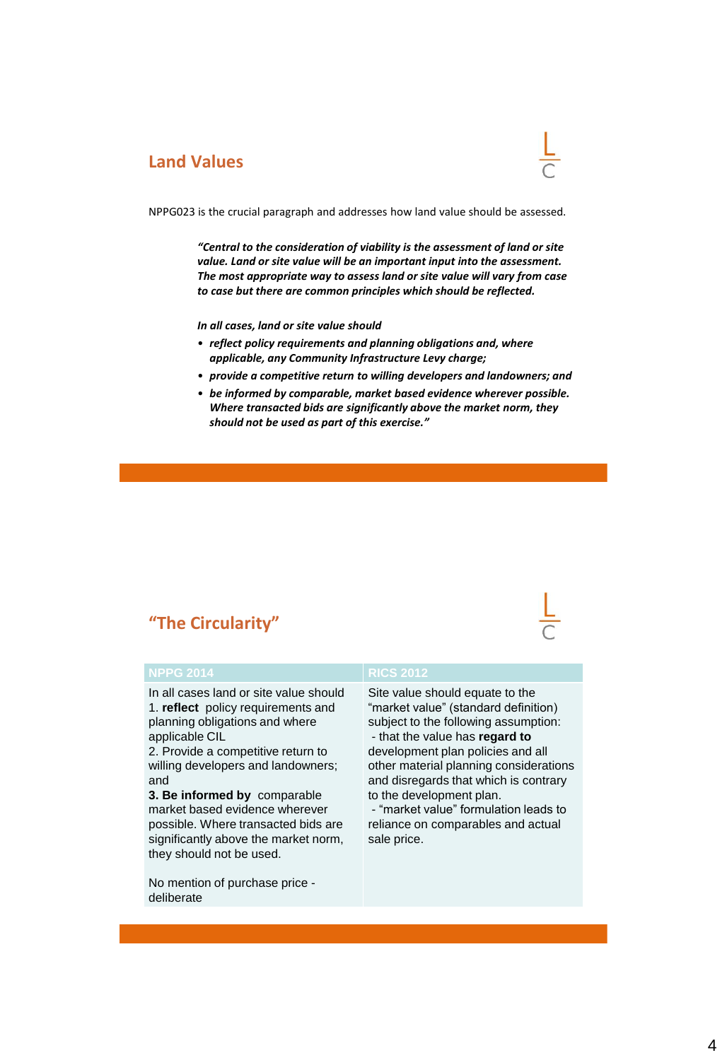# **Land Values**



NPPG023 is the crucial paragraph and addresses how land value should be assessed.

*"Central to the consideration of viability is the assessment of land or site value. Land or site value will be an important input into the assessment. The most appropriate way to assess land or site value will vary from case to case but there are common principles which should be reflected.* 

*In all cases, land or site value should*

- *reflect policy requirements and planning obligations and, where applicable, any Community Infrastructure Levy charge;*
- *provide a competitive return to willing developers and landowners; and*
- *be informed by comparable, market based evidence wherever possible. Where transacted bids are significantly above the market norm, they should not be used as part of this exercise."*

# **"The Circularity"**

In all cases land or site value should 1. **reflect** policy requirements and planning obligations and where applicable CIL

2. Provide a competitive return to willing developers and landowners; and

**3. Be informed by** comparable market based evidence wherever possible. Where transacted bids are significantly above the market norm, they should not be used.

No mention of purchase price deliberate

Site value should equate to the "market value" (standard definition) subject to the following assumption:

- that the value has **regard to**  development plan policies and all other material planning considerations and disregards that which is contrary to the development plan.

- "market value" formulation leads to reliance on comparables and actual sale price.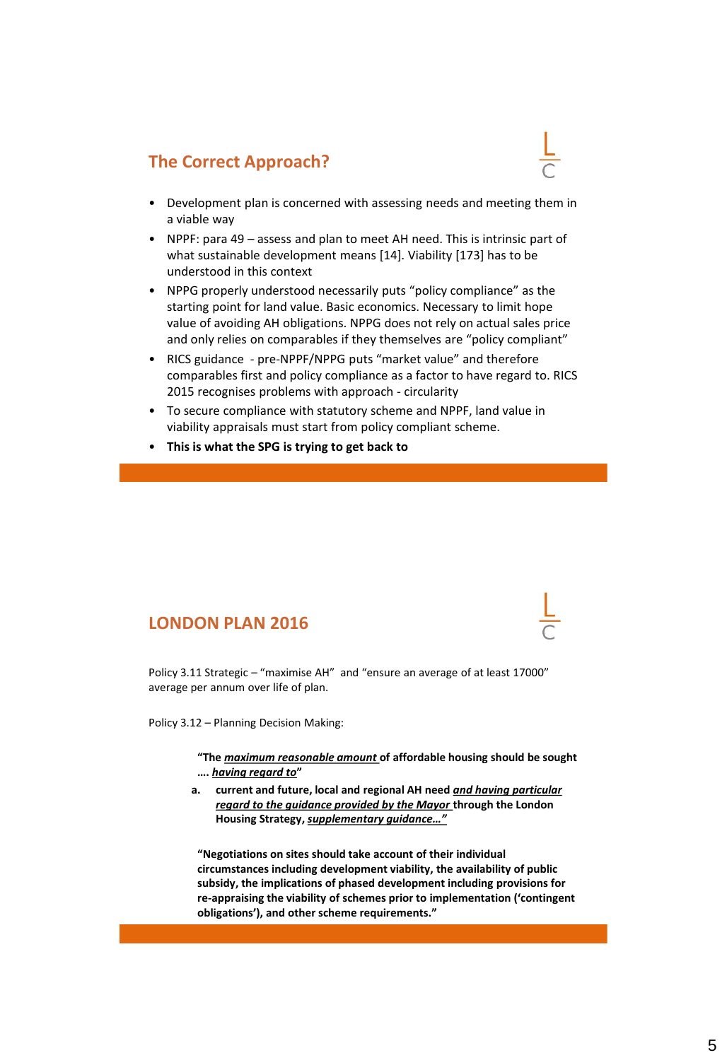# **The Correct Approach?**

- Development plan is concerned with assessing needs and meeting them in a viable way
- NPPF: para 49 assess and plan to meet AH need. This is intrinsic part of what sustainable development means [14]. Viability [173] has to be understood in this context
- NPPG properly understood necessarily puts "policy compliance" as the starting point for land value. Basic economics. Necessary to limit hope value of avoiding AH obligations. NPPG does not rely on actual sales price and only relies on comparables if they themselves are "policy compliant"
- RICS guidance pre-NPPF/NPPG puts "market value" and therefore comparables first and policy compliance as a factor to have regard to. RICS 2015 recognises problems with approach - circularity
- To secure compliance with statutory scheme and NPPF, land value in viability appraisals must start from policy compliant scheme.
- **This is what the SPG is trying to get back to**

## **LONDON PLAN 2016**

Policy 3.11 Strategic – "maximise AH" and "ensure an average of at least 17000" average per annum over life of plan.

Policy 3.12 – Planning Decision Making:

**"The** *maximum reasonable amount* **of affordable housing should be sought ….** *having regard to***"**

**a. current and future, local and regional AH need** *and having particular regard to the guidance provided by the Mayor* **through the London Housing Strategy,** *supplementary guidance…"*

**"Negotiations on sites should take account of their individual circumstances including development viability, the availability of public subsidy, the implications of phased development including provisions for re-appraising the viability of schemes prior to implementation ('contingent obligations'), and other scheme requirements."**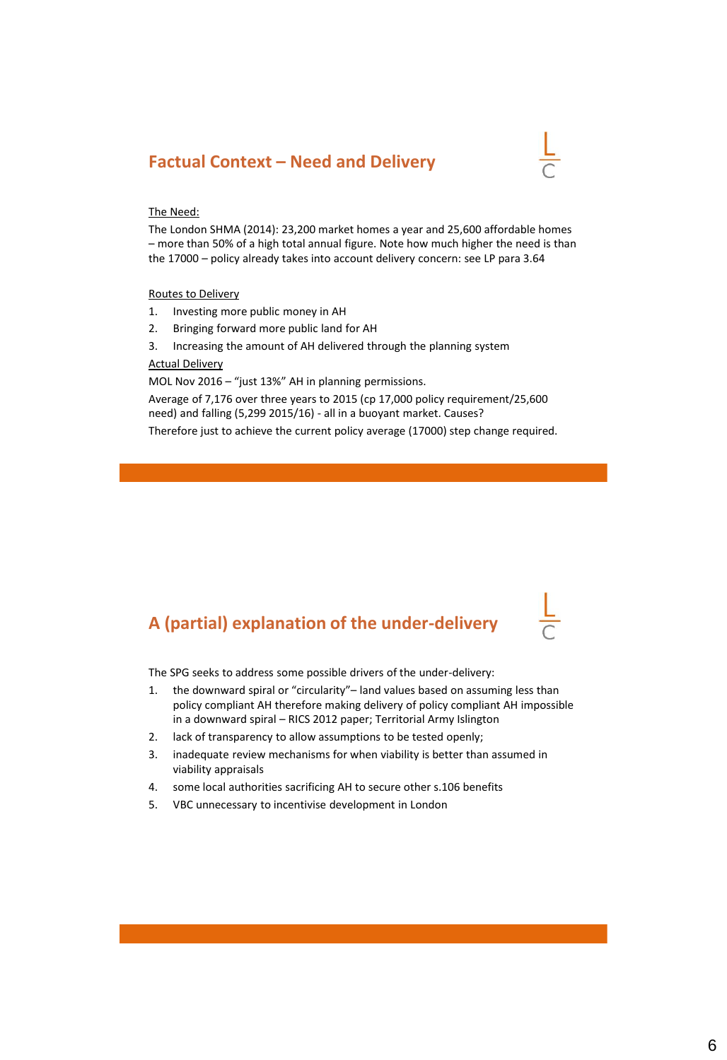# **Factual Context – Need and Delivery**



### The Need:

The London SHMA (2014): 23,200 market homes a year and 25,600 affordable homes – more than 50% of a high total annual figure. Note how much higher the need is than the 17000 – policy already takes into account delivery concern: see LP para 3.64

Routes to Delivery

- 1. Investing more public money in AH
- 2. Bringing forward more public land for AH
- 3. Increasing the amount of AH delivered through the planning system Actual Delivery

MOL Nov 2016 – "just 13%" AH in planning permissions.

Average of 7,176 over three years to 2015 (cp 17,000 policy requirement/25,600 need) and falling (5,299 2015/16) - all in a buoyant market. Causes?

Therefore just to achieve the current policy average (17000) step change required.

# **A (partial) explanation of the under-delivery**

The SPG seeks to address some possible drivers of the under-delivery:

- 1. the downward spiral or "circularity"– land values based on assuming less than policy compliant AH therefore making delivery of policy compliant AH impossible in a downward spiral – RICS 2012 paper; Territorial Army Islington
- 2. lack of transparency to allow assumptions to be tested openly;
- 3. inadequate review mechanisms for when viability is better than assumed in viability appraisals
- 4. some local authorities sacrificing AH to secure other s.106 benefits
- 5. VBC unnecessary to incentivise development in London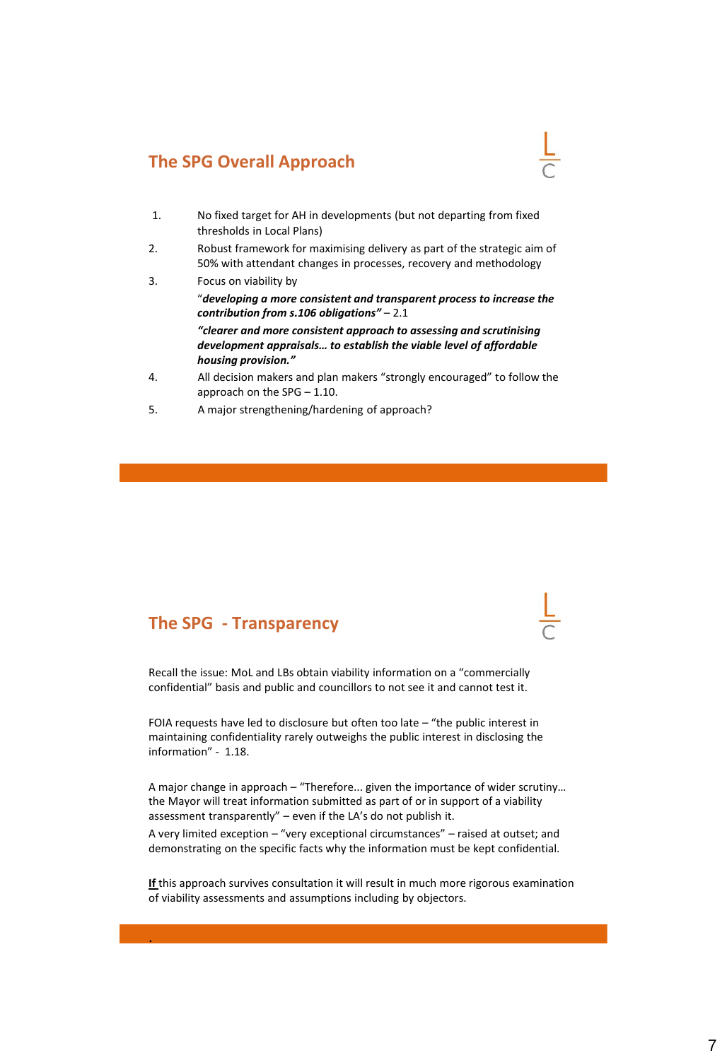# **The SPG Overall Approach**

- 1. No fixed target for AH in developments (but not departing from fixed thresholds in Local Plans)
- 2. Robust framework for maximising delivery as part of the strategic aim of 50% with attendant changes in processes, recovery and methodology
- 3. Focus on viability by "*developing a more consistent and transparent process to increase the contribution from s.106 obligations"* – 2.1 *"clearer and more consistent approach to assessing and scrutinising development appraisals… to establish the viable level of affordable housing provision."*
- 4. All decision makers and plan makers "strongly encouraged" to follow the approach on the SPG – 1.10.
- 5. A major strengthening/hardening of approach?

## **The SPG - Transparency**

.

Recall the issue: MoL and LBs obtain viability information on a "commercially confidential" basis and public and councillors to not see it and cannot test it.

FOIA requests have led to disclosure but often too late – "the public interest in maintaining confidentiality rarely outweighs the public interest in disclosing the information" - 1.18.

A major change in approach – "Therefore... given the importance of wider scrutiny… the Mayor will treat information submitted as part of or in support of a viability assessment transparently" – even if the LA's do not publish it.

A very limited exception – "very exceptional circumstances" – raised at outset; and demonstrating on the specific facts why the information must be kept confidential.

**If** this approach survives consultation it will result in much more rigorous examination of viability assessments and assumptions including by objectors.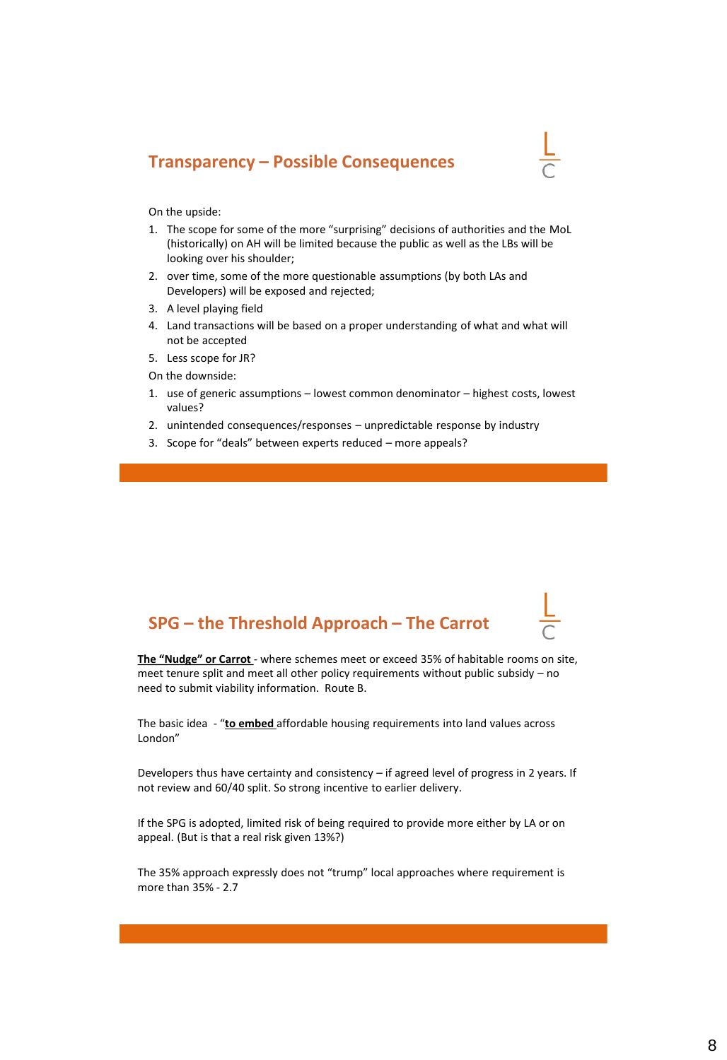# **Transparency – Possible Consequences**



On the upside:

- 1. The scope for some of the more "surprising" decisions of authorities and the MoL (historically) on AH will be limited because the public as well as the LBs will be looking over his shoulder;
- 2. over time, some of the more questionable assumptions (by both LAs and Developers) will be exposed and rejected;
- 3. A level playing field
- 4. Land transactions will be based on a proper understanding of what and what will not be accepted
- 5. Less scope for JR?
- On the downside:
- 1. use of generic assumptions lowest common denominator highest costs, lowest values?
- 2. unintended consequences/responses unpredictable response by industry
- 3. Scope for "deals" between experts reduced more appeals?

# **SPG – the Threshold Approach – The Carrot**

**The "Nudge" or Carrot** - where schemes meet or exceed 35% of habitable rooms on site, meet tenure split and meet all other policy requirements without public subsidy – no need to submit viability information. Route B.

The basic idea - "**to embed** affordable housing requirements into land values across London"

Developers thus have certainty and consistency – if agreed level of progress in 2 years. If not review and 60/40 split. So strong incentive to earlier delivery.

If the SPG is adopted, limited risk of being required to provide more either by LA or on appeal. (But is that a real risk given 13%?)

The 35% approach expressly does not "trump" local approaches where requirement is more than 35% - 2.7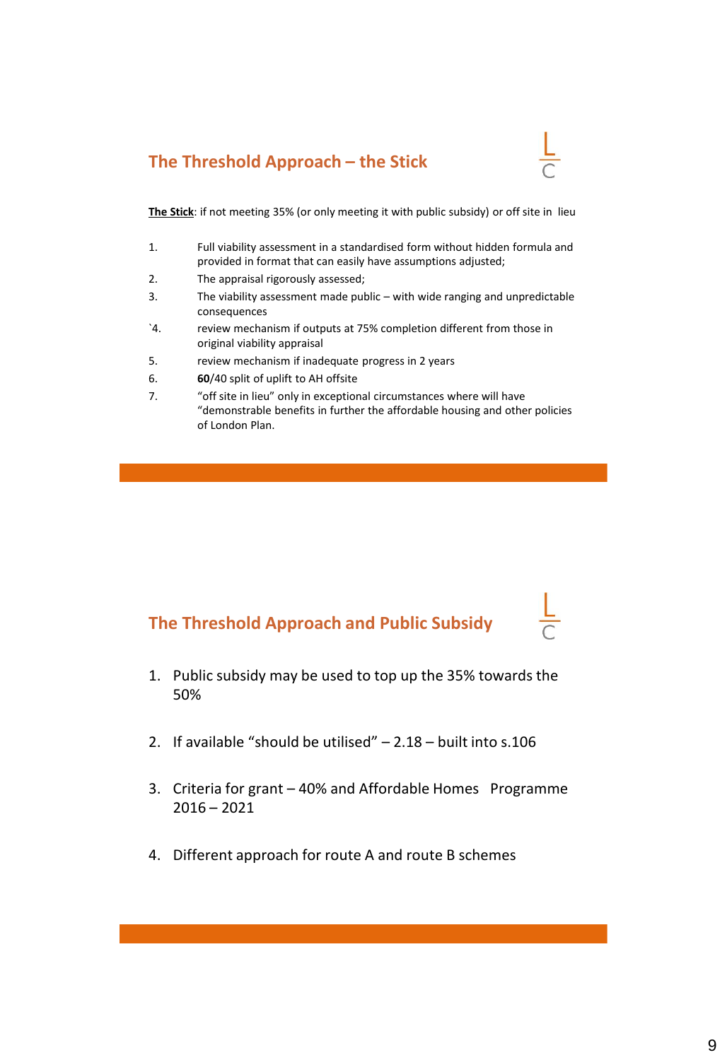# **The Threshold Approach – the Stick**



**The Stick**: if not meeting 35% (or only meeting it with public subsidy) or off site in lieu

- 1. Full viability assessment in a standardised form without hidden formula and provided in format that can easily have assumptions adjusted;
- 2. The appraisal rigorously assessed;
- 3. The viability assessment made public with wide ranging and unpredictable consequences
- `4. review mechanism if outputs at 75% completion different from those in original viability appraisal
- 5. review mechanism if inadequate progress in 2 years
- 6. **60**/40 split of uplift to AH offsite
- 7. "off site in lieu" only in exceptional circumstances where will have "demonstrable benefits in further the affordable housing and other policies of London Plan.

# **The Threshold Approach and Public Subsidy**

- 1. Public subsidy may be used to top up the 35% towards the 50%
- 2. If available "should be utilised" 2.18 built into s.106
- 3. Criteria for grant 40% and Affordable Homes Programme  $2016 - 2021$
- 4. Different approach for route A and route B schemes